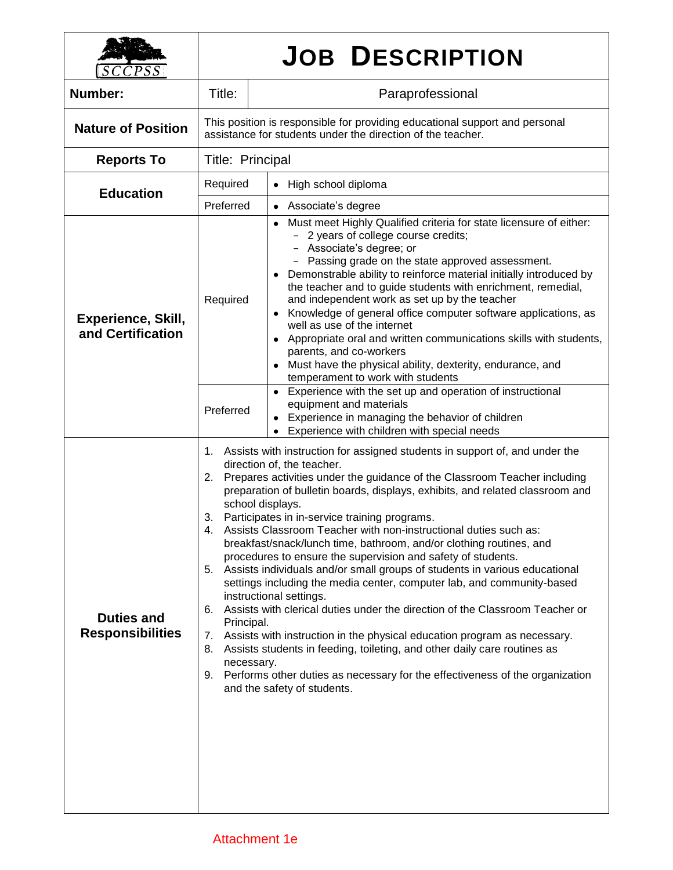| CCPSS                                          | <b>JOB DESCRIPTION</b>                                                                                                                                                                                                                                                                                                                                                                                                                                                                                                                                                                                                                                                                                                                                                                                                                                                                                                                                                                                                                                                                                                                                                           |                                                                                                                                                                                                                                                                                                                                                                                                                                                                                                                                                                                                                                                                                                  |  |  |  |
|------------------------------------------------|----------------------------------------------------------------------------------------------------------------------------------------------------------------------------------------------------------------------------------------------------------------------------------------------------------------------------------------------------------------------------------------------------------------------------------------------------------------------------------------------------------------------------------------------------------------------------------------------------------------------------------------------------------------------------------------------------------------------------------------------------------------------------------------------------------------------------------------------------------------------------------------------------------------------------------------------------------------------------------------------------------------------------------------------------------------------------------------------------------------------------------------------------------------------------------|--------------------------------------------------------------------------------------------------------------------------------------------------------------------------------------------------------------------------------------------------------------------------------------------------------------------------------------------------------------------------------------------------------------------------------------------------------------------------------------------------------------------------------------------------------------------------------------------------------------------------------------------------------------------------------------------------|--|--|--|
| Number:                                        | Title:                                                                                                                                                                                                                                                                                                                                                                                                                                                                                                                                                                                                                                                                                                                                                                                                                                                                                                                                                                                                                                                                                                                                                                           | Paraprofessional                                                                                                                                                                                                                                                                                                                                                                                                                                                                                                                                                                                                                                                                                 |  |  |  |
| <b>Nature of Position</b>                      | This position is responsible for providing educational support and personal<br>assistance for students under the direction of the teacher.                                                                                                                                                                                                                                                                                                                                                                                                                                                                                                                                                                                                                                                                                                                                                                                                                                                                                                                                                                                                                                       |                                                                                                                                                                                                                                                                                                                                                                                                                                                                                                                                                                                                                                                                                                  |  |  |  |
| <b>Reports To</b>                              | Title: Principal                                                                                                                                                                                                                                                                                                                                                                                                                                                                                                                                                                                                                                                                                                                                                                                                                                                                                                                                                                                                                                                                                                                                                                 |                                                                                                                                                                                                                                                                                                                                                                                                                                                                                                                                                                                                                                                                                                  |  |  |  |
| <b>Education</b>                               | Required                                                                                                                                                                                                                                                                                                                                                                                                                                                                                                                                                                                                                                                                                                                                                                                                                                                                                                                                                                                                                                                                                                                                                                         | High school diploma<br>٠                                                                                                                                                                                                                                                                                                                                                                                                                                                                                                                                                                                                                                                                         |  |  |  |
|                                                | Preferred                                                                                                                                                                                                                                                                                                                                                                                                                                                                                                                                                                                                                                                                                                                                                                                                                                                                                                                                                                                                                                                                                                                                                                        | Associate's degree<br>$\bullet$                                                                                                                                                                                                                                                                                                                                                                                                                                                                                                                                                                                                                                                                  |  |  |  |
| <b>Experience, Skill,</b><br>and Certification | Required                                                                                                                                                                                                                                                                                                                                                                                                                                                                                                                                                                                                                                                                                                                                                                                                                                                                                                                                                                                                                                                                                                                                                                         | Must meet Highly Qualified criteria for state licensure of either:<br>$\bullet$<br>2 years of college course credits;<br>Associate's degree; or<br>Passing grade on the state approved assessment.<br>Demonstrable ability to reinforce material initially introduced by<br>the teacher and to guide students with enrichment, remedial,<br>and independent work as set up by the teacher<br>• Knowledge of general office computer software applications, as<br>well as use of the internet<br>Appropriate oral and written communications skills with students,<br>parents, and co-workers<br>• Must have the physical ability, dexterity, endurance, and<br>temperament to work with students |  |  |  |
|                                                | Preferred                                                                                                                                                                                                                                                                                                                                                                                                                                                                                                                                                                                                                                                                                                                                                                                                                                                                                                                                                                                                                                                                                                                                                                        | • Experience with the set up and operation of instructional<br>equipment and materials<br>Experience in managing the behavior of children<br>Experience with children with special needs                                                                                                                                                                                                                                                                                                                                                                                                                                                                                                         |  |  |  |
| <b>Duties and</b><br><b>Responsibilities</b>   | 1. Assists with instruction for assigned students in support of, and under the<br>direction of, the teacher.<br>Prepares activities under the guidance of the Classroom Teacher including<br>2.<br>preparation of bulletin boards, displays, exhibits, and related classroom and<br>school displays.<br>3.<br>Participates in in-service training programs.<br>Assists Classroom Teacher with non-instructional duties such as:<br>4.<br>breakfast/snack/lunch time, bathroom, and/or clothing routines, and<br>procedures to ensure the supervision and safety of students.<br>Assists individuals and/or small groups of students in various educational<br>5.<br>settings including the media center, computer lab, and community-based<br>instructional settings.<br>Assists with clerical duties under the direction of the Classroom Teacher or<br>6.<br>Principal.<br>7.<br>Assists with instruction in the physical education program as necessary.<br>Assists students in feeding, toileting, and other daily care routines as<br>8.<br>necessary.<br>Performs other duties as necessary for the effectiveness of the organization<br>9.<br>and the safety of students. |                                                                                                                                                                                                                                                                                                                                                                                                                                                                                                                                                                                                                                                                                                  |  |  |  |

٦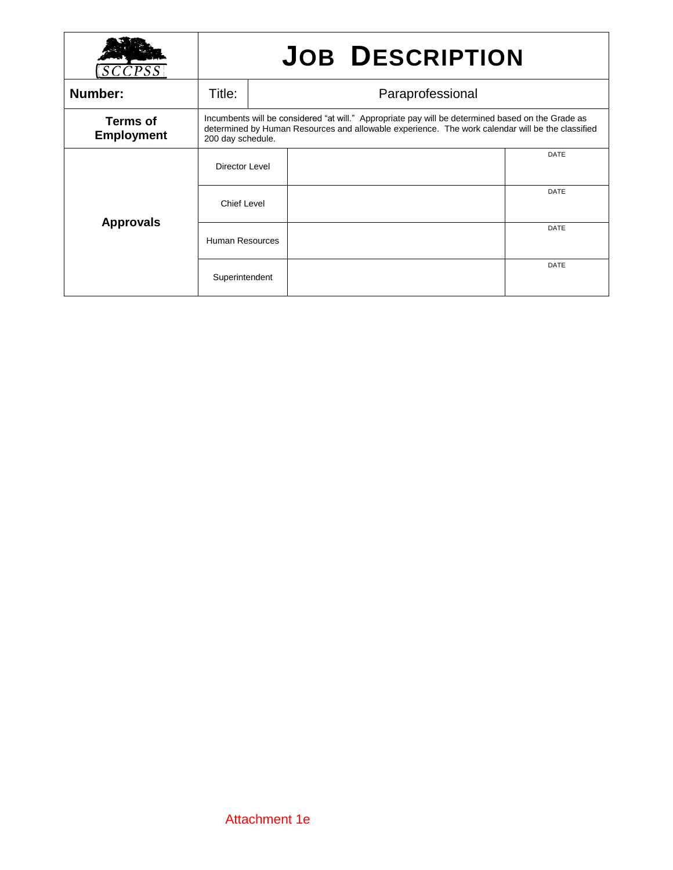|                                      | <b>JOB DESCRIPTION</b>                                                                                                                                                                                                     |  |  |             |  |
|--------------------------------------|----------------------------------------------------------------------------------------------------------------------------------------------------------------------------------------------------------------------------|--|--|-------------|--|
| Number:                              | Title:<br>Paraprofessional                                                                                                                                                                                                 |  |  |             |  |
| <b>Terms of</b><br><b>Employment</b> | Incumbents will be considered "at will." Appropriate pay will be determined based on the Grade as<br>determined by Human Resources and allowable experience. The work calendar will be the classified<br>200 day schedule. |  |  |             |  |
| <b>Approvals</b>                     | <b>Director Level</b>                                                                                                                                                                                                      |  |  | <b>DATE</b> |  |
|                                      | <b>Chief Level</b>                                                                                                                                                                                                         |  |  | <b>DATE</b> |  |
|                                      | <b>Human Resources</b>                                                                                                                                                                                                     |  |  | <b>DATE</b> |  |
|                                      | Superintendent                                                                                                                                                                                                             |  |  | <b>DATE</b> |  |